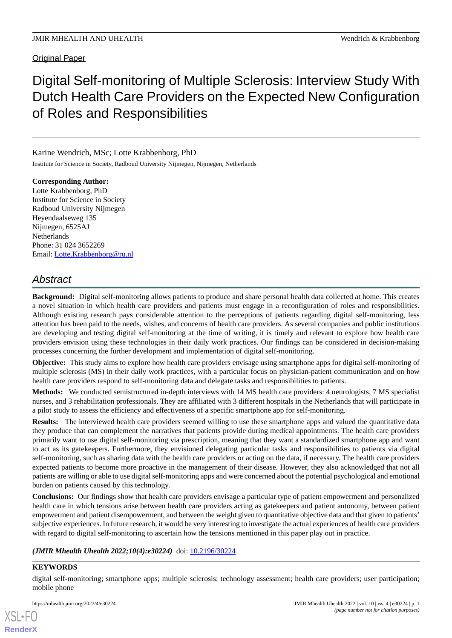**Original Paper** 

# Digital Self-monitoring of Multiple Sclerosis: Interview Study With Dutch Health Care Providers on the Expected New Configuration of Roles and Responsibilities

# Karine Wendrich, MSc; Lotte Krabbenborg, PhD

Institute for Science in Society, Radboud University Nijmegen, Nijmegen, Netherlands

**Corresponding Author:** Lotte Krabbenborg, PhD Institute for Science in Society Radboud University Nijmegen Heyendaalseweg 135 Nijmegen, 6525AJ Netherlands Phone: 31 024 3652269 Email: [Lotte.Krabbenborg@ru.nl](mailto:Lotte.Krabbenborg@ru.nl)

# *Abstract*

**Background:** Digital self-monitoring allows patients to produce and share personal health data collected at home. This creates a novel situation in which health care providers and patients must engage in a reconfiguration of roles and responsibilities. Although existing research pays considerable attention to the perceptions of patients regarding digital self-monitoring, less attention has been paid to the needs, wishes, and concerns of health care providers. As several companies and public institutions are developing and testing digital self-monitoring at the time of writing, it is timely and relevant to explore how health care providers envision using these technologies in their daily work practices. Our findings can be considered in decision-making processes concerning the further development and implementation of digital self-monitoring.

**Objective:** This study aims to explore how health care providers envisage using smartphone apps for digital self-monitoring of multiple sclerosis (MS) in their daily work practices, with a particular focus on physician-patient communication and on how health care providers respond to self-monitoring data and delegate tasks and responsibilities to patients.

**Methods:** We conducted semistructured in-depth interviews with 14 MS health care providers: 4 neurologists, 7 MS specialist nurses, and 3 rehabilitation professionals. They are affiliated with 3 different hospitals in the Netherlands that will participate in a pilot study to assess the efficiency and effectiveness of a specific smartphone app for self-monitoring.

**Results:** The interviewed health care providers seemed willing to use these smartphone apps and valued the quantitative data they produce that can complement the narratives that patients provide during medical appointments. The health care providers primarily want to use digital self-monitoring via prescription, meaning that they want a standardized smartphone app and want to act as its gatekeepers. Furthermore, they envisioned delegating particular tasks and responsibilities to patients via digital self-monitoring, such as sharing data with the health care providers or acting on the data, if necessary. The health care providers expected patients to become more proactive in the management of their disease. However, they also acknowledged that not all patients are willing or able to use digital self-monitoring apps and were concerned about the potential psychological and emotional burden on patients caused by this technology.

**Conclusions:** Our findings show that health care providers envisage a particular type of patient empowerment and personalized health care in which tensions arise between health care providers acting as gatekeepers and patient autonomy, between patient empowerment and patient disempowerment, and between the weight given to quantitative objective data and that given to patients' subjective experiences. In future research, it would be very interesting to investigate the actual experiences of health care providers with regard to digital self-monitoring to ascertain how the tensions mentioned in this paper play out in practice.

# *(JMIR Mhealth Uhealth 2022;10(4):e30224)* doi: [10.2196/30224](http://dx.doi.org/10.2196/30224)

# **KEYWORDS**

[XSL](http://www.w3.org/Style/XSL)•FO **[RenderX](http://www.renderx.com/)**

digital self-monitoring; smartphone apps; multiple sclerosis; technology assessment; health care providers; user participation; mobile phone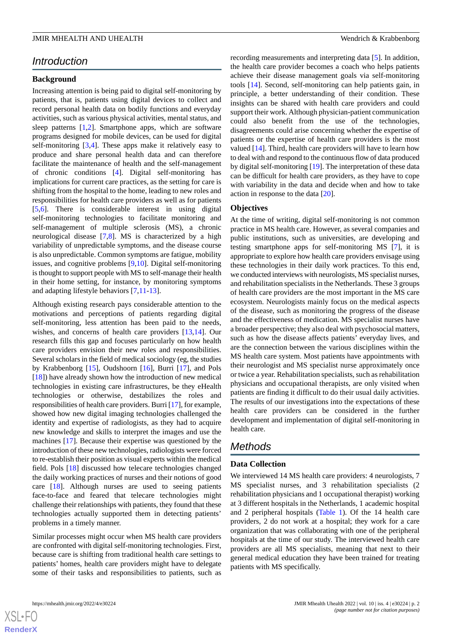# *Introduction*

#### **Background**

Increasing attention is being paid to digital self-monitoring by patients, that is, patients using digital devices to collect and record personal health data on bodily functions and everyday activities, such as various physical activities, mental status, and sleep patterns [\[1](#page-8-0),[2\]](#page-8-1). Smartphone apps, which are software programs designed for mobile devices, can be used for digital self-monitoring [\[3](#page-8-2),[4\]](#page-8-3). These apps make it relatively easy to produce and share personal health data and can therefore facilitate the maintenance of health and the self-management of chronic conditions [[4\]](#page-8-3). Digital self-monitoring has implications for current care practices, as the setting for care is shifting from the hospital to the home, leading to new roles and responsibilities for health care providers as well as for patients [[5](#page-8-4)[,6](#page-8-5)]. There is considerable interest in using digital self-monitoring technologies to facilitate monitoring and self-management of multiple sclerosis (MS), a chronic neurological disease [\[7](#page-8-6),[8\]](#page-8-7). MS is characterized by a high variability of unpredictable symptoms, and the disease course is also unpredictable. Common symptoms are fatigue, mobility issues, and cognitive problems [\[9](#page-8-8),[10\]](#page-8-9). Digital self-monitoring is thought to support people with MS to self-manage their health in their home setting, for instance, by monitoring symptoms and adapting lifestyle behaviors [[7,](#page-8-6)[11](#page-8-10)[-13](#page-8-11)].

Although existing research pays considerable attention to the motivations and perceptions of patients regarding digital self-monitoring, less attention has been paid to the needs, wishes, and concerns of health care providers [\[13](#page-8-11),[14\]](#page-8-12). Our research fills this gap and focuses particularly on how health care providers envision their new roles and responsibilities. Several scholars in the field of medical sociology (eg, the studies by Krabbenborg [\[15](#page-8-13)], Oudshoorn [[16\]](#page-8-14), Burri [\[17](#page-8-15)], and Pols [[18\]](#page-8-16)) have already shown how the introduction of new medical technologies in existing care infrastructures, be they eHealth technologies or otherwise, destabilizes the roles and responsibilities of health care providers. Burri [\[17](#page-8-15)], for example, showed how new digital imaging technologies challenged the identity and expertise of radiologists, as they had to acquire new knowledge and skills to interpret the images and use the machines [[17\]](#page-8-15). Because their expertise was questioned by the introduction of these new technologies, radiologists were forced to re-establish their position as visual experts within the medical field. Pols [[18\]](#page-8-16) discussed how telecare technologies changed the daily working practices of nurses and their notions of good care [\[18](#page-8-16)]. Although nurses are used to seeing patients face-to-face and feared that telecare technologies might challenge their relationships with patients, they found that these technologies actually supported them in detecting patients' problems in a timely manner.

Similar processes might occur when MS health care providers are confronted with digital self-monitoring technologies. First, because care is shifting from traditional health care settings to patients' homes, health care providers might have to delegate some of their tasks and responsibilities to patients, such as

 $XS$  • FC **[RenderX](http://www.renderx.com/)** recording measurements and interpreting data [\[5](#page-8-4)]. In addition, the health care provider becomes a coach who helps patients achieve their disease management goals via self-monitoring tools [[14\]](#page-8-12). Second, self-monitoring can help patients gain, in principle, a better understanding of their condition. These insights can be shared with health care providers and could support their work. Although physician-patient communication could also benefit from the use of the technologies, disagreements could arise concerning whether the expertise of patients or the expertise of health care providers is the most valued [[14\]](#page-8-12). Third, health care providers will have to learn how to deal with and respond to the continuous flow of data produced by digital self-monitoring [\[19](#page-8-17)]. The interpretation of these data can be difficult for health care providers, as they have to cope with variability in the data and decide when and how to take action in response to the data [[20\]](#page-8-18).

#### **Objectives**

At the time of writing, digital self-monitoring is not common practice in MS health care. However, as several companies and public institutions, such as universities, are developing and testing smartphone apps for self-monitoring MS [\[7](#page-8-6)], it is appropriate to explore how health care providers envisage using these technologies in their daily work practices. To this end, we conducted interviews with neurologists, MS specialist nurses, and rehabilitation specialists in the Netherlands. These 3 groups of health care providers are the most important in the MS care ecosystem. Neurologists mainly focus on the medical aspects of the disease, such as monitoring the progress of the disease and the effectiveness of medication. MS specialist nurses have a broader perspective; they also deal with psychosocial matters, such as how the disease affects patients' everyday lives, and are the connection between the various disciplines within the MS health care system. Most patients have appointments with their neurologist and MS specialist nurse approximately once or twice a year. Rehabilitation specialists, such as rehabilitation physicians and occupational therapists, are only visited when patients are finding it difficult to do their usual daily activities. The results of our investigations into the expectations of these health care providers can be considered in the further development and implementation of digital self-monitoring in health care.

# *Methods*

#### **Data Collection**

We interviewed 14 MS health care providers: 4 neurologists, 7 MS specialist nurses, and 3 rehabilitation specialists (2 rehabilitation physicians and 1 occupational therapist) working at 3 different hospitals in the Netherlands, 1 academic hospital and 2 peripheral hospitals ([Table 1](#page-2-0)). Of the 14 health care providers, 2 do not work at a hospital; they work for a care organization that was collaborating with one of the peripheral hospitals at the time of our study. The interviewed health care providers are all MS specialists, meaning that next to their general medical education they have been trained for treating patients with MS specifically.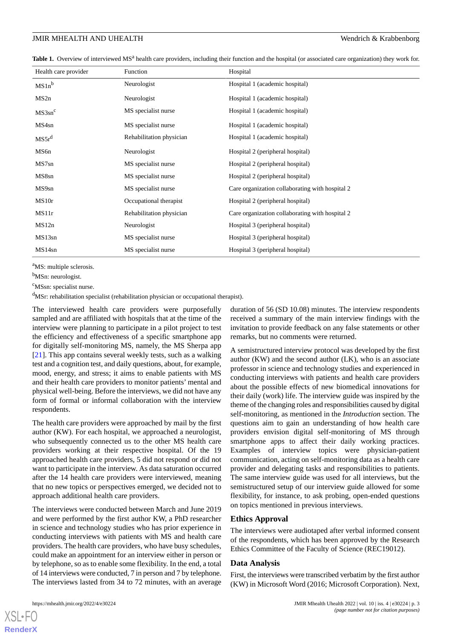<span id="page-2-0"></span>Table 1. Overview of interviewed MS<sup>a</sup> health care providers, including their function and the hospital (or associated care organization) they work for.

| Health care provider | Function                 | Hospital                                        |
|----------------------|--------------------------|-------------------------------------------------|
| $MS1n^b$             | Neurologist              | Hospital 1 (academic hospital)                  |
| MS2n                 | Neurologist              | Hospital 1 (academic hospital)                  |
| $MS3sn^c$            | MS specialist nurse      | Hospital 1 (academic hospital)                  |
| MS4sn                | MS specialist nurse      | Hospital 1 (academic hospital)                  |
| MS5r <sup>d</sup>    | Rehabilitation physician | Hospital 1 (academic hospital)                  |
| MS6n                 | Neurologist              | Hospital 2 (peripheral hospital)                |
| MS7sn                | MS specialist nurse      | Hospital 2 (peripheral hospital)                |
| MS8sn                | MS specialist nurse      | Hospital 2 (peripheral hospital)                |
| MS9sn                | MS specialist nurse      | Care organization collaborating with hospital 2 |
| MS <sub>10</sub> r   | Occupational therapist   | Hospital 2 (peripheral hospital)                |
| MS11r                | Rehabilitation physician | Care organization collaborating with hospital 2 |
| MS12n                | Neurologist              | Hospital 3 (peripheral hospital)                |
| MS13sn               | MS specialist nurse      | Hospital 3 (peripheral hospital)                |
| MS14sn               | MS specialist nurse      | Hospital 3 (peripheral hospital)                |

<sup>a</sup>MS: multiple sclerosis.

b<sub>MSn</sub>: neurologist.

<sup>c</sup>MSsn: specialist nurse.

<sup>d</sup>MSr: rehabilitation specialist (rehabilitation physician or occupational therapist).

The interviewed health care providers were purposefully sampled and are affiliated with hospitals that at the time of the interview were planning to participate in a pilot project to test the efficiency and effectiveness of a specific smartphone app for digitally self-monitoring MS, namely, the MS Sherpa app [[21\]](#page-8-19). This app contains several weekly tests, such as a walking test and a cognition test, and daily questions, about, for example, mood, energy, and stress; it aims to enable patients with MS and their health care providers to monitor patients' mental and physical well-being. Before the interviews, we did not have any form of formal or informal collaboration with the interview respondents.

The health care providers were approached by mail by the first author (KW). For each hospital, we approached a neurologist, who subsequently connected us to the other MS health care providers working at their respective hospital. Of the 19 approached health care providers, 5 did not respond or did not want to participate in the interview. As data saturation occurred after the 14 health care providers were interviewed, meaning that no new topics or perspectives emerged, we decided not to approach additional health care providers.

The interviews were conducted between March and June 2019 and were performed by the first author KW, a PhD researcher in science and technology studies who has prior experience in conducting interviews with patients with MS and health care providers. The health care providers, who have busy schedules, could make an appointment for an interview either in person or by telephone, so as to enable some flexibility. In the end, a total of 14 interviews were conducted, 7 in person and 7 by telephone. The interviews lasted from 34 to 72 minutes, with an average

[XSL](http://www.w3.org/Style/XSL)•FO **[RenderX](http://www.renderx.com/)**

duration of 56 (SD 10.08) minutes. The interview respondents received a summary of the main interview findings with the invitation to provide feedback on any false statements or other remarks, but no comments were returned.

A semistructured interview protocol was developed by the first author (KW) and the second author (LK), who is an associate professor in science and technology studies and experienced in conducting interviews with patients and health care providers about the possible effects of new biomedical innovations for their daily (work) life. The interview guide was inspired by the theme of the changing roles and responsibilities caused by digital self-monitoring, as mentioned in the *Introduction* section. The questions aim to gain an understanding of how health care providers envision digital self-monitoring of MS through smartphone apps to affect their daily working practices. Examples of interview topics were physician-patient communication, acting on self-monitoring data as a health care provider and delegating tasks and responsibilities to patients. The same interview guide was used for all interviews, but the semistructured setup of our interview guide allowed for some flexibility, for instance, to ask probing, open-ended questions on topics mentioned in previous interviews.

#### **Ethics Approval**

The interviews were audiotaped after verbal informed consent of the respondents, which has been approved by the Research Ethics Committee of the Faculty of Science (REC19012).

#### **Data Analysis**

First, the interviews were transcribed verbatim by the first author (KW) in Microsoft Word (2016; Microsoft Corporation). Next,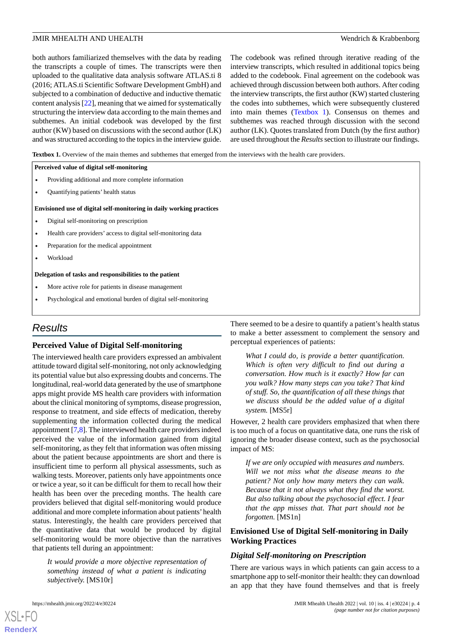both authors familiarized themselves with the data by reading the transcripts a couple of times. The transcripts were then uploaded to the qualitative data analysis software ATLAS.ti 8 (2016; ATLAS.ti Scientific Software Development GmbH) and subjected to a combination of deductive and inductive thematic content analysis [[22\]](#page-8-20), meaning that we aimed for systematically structuring the interview data according to the main themes and subthemes. An initial codebook was developed by the first author (KW) based on discussions with the second author (LK) and was structured according to the topics in the interview guide.

The codebook was refined through iterative reading of the interview transcripts, which resulted in additional topics being added to the codebook. Final agreement on the codebook was achieved through discussion between both authors. After coding the interview transcripts, the first author (KW) started clustering the codes into subthemes, which were subsequently clustered into main themes ([Textbox 1\)](#page-3-0). Consensus on themes and subthemes was reached through discussion with the second author (LK). Quotes translated from Dutch (by the first author) are used throughout the *Results*section to illustrate our findings.

<span id="page-3-0"></span>**Textbox 1.** Overview of the main themes and subthemes that emerged from the interviews with the health care providers.

#### **Perceived value of digital self-monitoring**

- Providing additional and more complete information
- Quantifying patients' health status

#### **Envisioned use of digital self-monitoring in daily working practices**

- Digital self-monitoring on prescription
- Health care providers' access to digital self-monitoring data
- Preparation for the medical appointment
- Workload

#### **Delegation of tasks and responsibilities to the patient**

- More active role for patients in disease management
- Psychological and emotional burden of digital self-monitoring

# *Results*

#### **Perceived Value of Digital Self-monitoring**

The interviewed health care providers expressed an ambivalent attitude toward digital self-monitoring, not only acknowledging its potential value but also expressing doubts and concerns. The longitudinal, real-world data generated by the use of smartphone apps might provide MS health care providers with information about the clinical monitoring of symptoms, disease progression, response to treatment, and side effects of medication, thereby supplementing the information collected during the medical appointment [[7](#page-8-6)[,8](#page-8-7)]. The interviewed health care providers indeed perceived the value of the information gained from digital self-monitoring, as they felt that information was often missing about the patient because appointments are short and there is insufficient time to perform all physical assessments, such as walking tests. Moreover, patients only have appointments once or twice a year, so it can be difficult for them to recall how their health has been over the preceding months. The health care providers believed that digital self-monitoring would produce additional and more complete information about patients'health status. Interestingly, the health care providers perceived that the quantitative data that would be produced by digital self-monitoring would be more objective than the narratives that patients tell during an appointment:

*It would provide a more objective representation of something instead of what a patient is indicating subjectively.* [MS10r]

There seemed to be a desire to quantify a patient's health status to make a better assessment to complement the sensory and perceptual experiences of patients:

*What I could do, is provide a better quantification. Which is often very difficult to find out during a conversation. How much is it exactly? How far can you walk? How many steps can you take? That kind of stuff. So, the quantification of all these things that we discuss should be the added value of a digital system.* [MS5r]

However, 2 health care providers emphasized that when there is too much of a focus on quantitative data, one runs the risk of ignoring the broader disease context, such as the psychosocial impact of MS:

*If we are only occupied with measures and numbers. Will we not miss what the disease means to the patient? Not only how many meters they can walk. Because that it not always what they find the worst. But also talking about the psychosocial effect. I fear that the app misses that. That part should not be forgotten.* [MS1n]

#### **Envisioned Use of Digital Self-monitoring in Daily Working Practices**

#### *Digital Self-monitoring on Prescription*

There are various ways in which patients can gain access to a smartphone app to self-monitor their health: they can download an app that they have found themselves and that is freely

[XSL](http://www.w3.org/Style/XSL)•FO **[RenderX](http://www.renderx.com/)**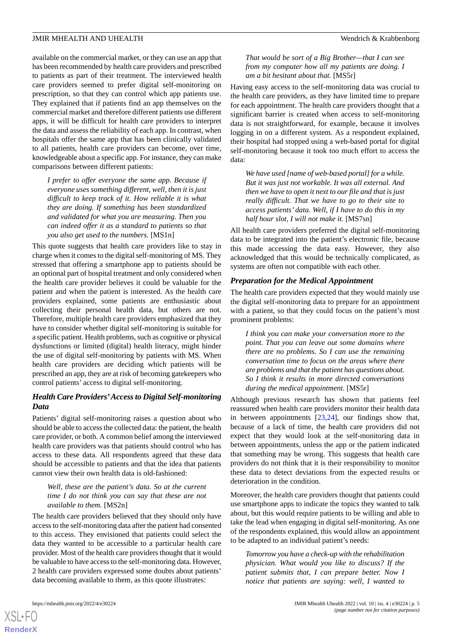available on the commercial market, or they can use an app that has been recommended by health care providers and prescribed to patients as part of their treatment. The interviewed health care providers seemed to prefer digital self-monitoring on prescription, so that they can control which app patients use. They explained that if patients find an app themselves on the commercial market and therefore different patients use different apps, it will be difficult for health care providers to interpret the data and assess the reliability of each app. In contrast, when hospitals offer the same app that has been clinically validated to all patients, health care providers can become, over time, knowledgeable about a specific app. For instance, they can make comparisons between different patients:

*I prefer to offer everyone the same app. Because if everyone uses something different, well, then it is just difficult to keep track of it. How reliable it is what they are doing. If something has been standardized and validated for what you are measuring. Then you can indeed offer it as a standard to patients so that you also get used to the numbers.* [MS1n]

This quote suggests that health care providers like to stay in charge when it comes to the digital self-monitoring of MS. They stressed that offering a smartphone app to patients should be an optional part of hospital treatment and only considered when the health care provider believes it could be valuable for the patient and when the patient is interested. As the health care providers explained, some patients are enthusiastic about collecting their personal health data, but others are not. Therefore, multiple health care providers emphasized that they have to consider whether digital self-monitoring is suitable for a specific patient. Health problems, such as cognitive or physical dysfunctions or limited (digital) health literacy, might hinder the use of digital self-monitoring by patients with MS. When health care providers are deciding which patients will be prescribed an app, they are at risk of becoming gatekeepers who control patients' access to digital self-monitoring.

# *Health Care Providers'Access to Digital Self-monitoring Data*

Patients' digital self-monitoring raises a question about who should be able to access the collected data: the patient, the health care provider, or both. A common belief among the interviewed health care providers was that patients should control who has access to these data. All respondents agreed that these data should be accessible to patients and that the idea that patients cannot view their own health data is old-fashioned:

#### *Well, these are the patient's data. So at the current time I do not think you can say that these are not available to them.* [MS2n]

The health care providers believed that they should only have access to the self-monitoring data after the patient had consented to this access. They envisioned that patients could select the data they wanted to be accessible to a particular health care provider. Most of the health care providers thought that it would be valuable to have access to the self-monitoring data. However, 2 health care providers expressed some doubts about patients' data becoming available to them, as this quote illustrates:

*That would be sort of a Big Brother—that I can see from my computer how all my patients are doing. I am a bit hesitant about that.* [MS5r]

Having easy access to the self-monitoring data was crucial to the health care providers, as they have limited time to prepare for each appointment. The health care providers thought that a significant barrier is created when access to self-monitoring data is not straightforward, for example, because it involves logging in on a different system. As a respondent explained, their hospital had stopped using a web-based portal for digital self-monitoring because it took too much effort to access the data:

*We have used [name of web-based portal] for a while. But it was just not workable. It was all external. And then we have to open it next to our file and that is just really difficult. That we have to go to their site to access patients' data. Well, if I have to do this in my half hour slot, I will not make it.* [MS7sn]

All health care providers preferred the digital self-monitoring data to be integrated into the patient's electronic file, because this made accessing the data easy. However, they also acknowledged that this would be technically complicated, as systems are often not compatible with each other.

### *Preparation for the Medical Appointment*

The health care providers expected that they would mainly use the digital self-monitoring data to prepare for an appointment with a patient, so that they could focus on the patient's most prominent problems:

*I think you can make your conversation more to the point. That you can leave out some domains where there are no problems. So I can use the remaining conversation time to focus on the areas where there are problems and that the patient has questions about. So I think it results in more directed conversations during the medical appointment.* [MS5r]

Although previous research has shown that patients feel reassured when health care providers monitor their health data in between appointments [\[23](#page-8-21),[24\]](#page-9-0), our findings show that, because of a lack of time, the health care providers did not expect that they would look at the self-monitoring data in between appointments, unless the app or the patient indicated that something may be wrong. This suggests that health care providers do not think that it is their responsibility to monitor these data to detect deviations from the expected results or deterioration in the condition.

Moreover, the health care providers thought that patients could use smartphone apps to indicate the topics they wanted to talk about, but this would require patients to be willing and able to take the lead when engaging in digital self-monitoring. As one of the respondents explained, this would allow an appointment to be adapted to an individual patient's needs:

*Tomorrow you have a check-up with the rehabilitation physician. What would you like to discuss? If the patient submits that, I can prepare better. Now I notice that patients are saying: well, I wanted to*

 $XS$  • FO **[RenderX](http://www.renderx.com/)**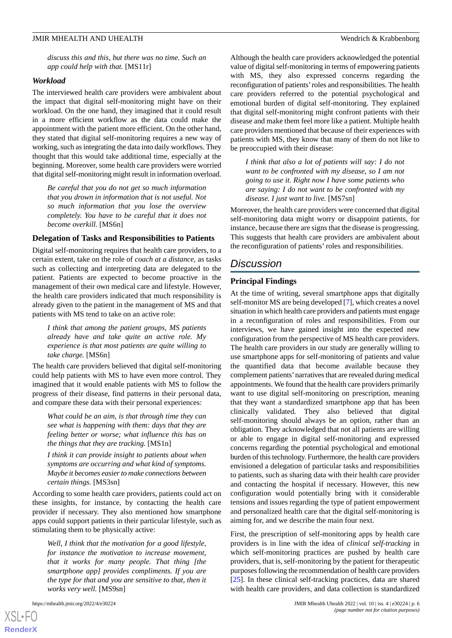*discuss this and this, but there was no time. Such an app could help with that.* [MS11r]

#### *Workload*

The interviewed health care providers were ambivalent about the impact that digital self-monitoring might have on their workload. On the one hand, they imagined that it could result in a more efficient workflow as the data could make the appointment with the patient more efficient. On the other hand, they stated that digital self-monitoring requires a new way of working, such as integrating the data into daily workflows. They thought that this would take additional time, especially at the beginning. Moreover, some health care providers were worried that digital self-monitoring might result in information overload.

*Be careful that you do not get so much information that you drown in information that is not useful. Not so much information that you lose the overview completely. You have to be careful that it does not become overkill.* [MS6n]

#### **Delegation of Tasks and Responsibilities to Patients**

Digital self-monitoring requires that health care providers, to a certain extent, take on the role of *coach at a distance*, as tasks such as collecting and interpreting data are delegated to the patient. Patients are expected to become proactive in the management of their own medical care and lifestyle. However, the health care providers indicated that much responsibility is already given to the patient in the management of MS and that patients with MS tend to take on an active role:

*I think that among the patient groups, MS patients already have and take quite an active role. My experience is that most patients are quite willing to take charge.* [MS6n]

The health care providers believed that digital self-monitoring could help patients with MS to have even more control. They imagined that it would enable patients with MS to follow the progress of their disease, find patterns in their personal data, and compare these data with their personal experiences:

*What could be an aim, is that through time they can see what is happening with them: days that they are feeling better or worse; what influence this has on the things that they are tracking.* [MS1n]

*I think it can provide insight to patients about when symptoms are occurring and what kind of symptoms. Maybe it becomes easier to make connections between certain things.* [MS3sn]

According to some health care providers, patients could act on these insights, for instance, by contacting the health care provider if necessary. They also mentioned how smartphone apps could support patients in their particular lifestyle, such as stimulating them to be physically active:

*Well, I think that the motivation for a good lifestyle, for instance the motivation to increase movement, that it works for many people. That thing [the smartphone app] provides compliments. If you are the type for that and you are sensitive to that, then it works very well.* [MS9sn]

Although the health care providers acknowledged the potential value of digital self-monitoring in terms of empowering patients with MS, they also expressed concerns regarding the reconfiguration of patients'roles and responsibilities. The health care providers referred to the potential psychological and emotional burden of digital self-monitoring. They explained that digital self-monitoring might confront patients with their disease and make them feel more like a patient. Multiple health care providers mentioned that because of their experiences with patients with MS, they know that many of them do not like to be preoccupied with their disease:

*I think that also a lot of patients will say: I do not want to be confronted with my disease, so I am not going to use it. Right now I have some patients who are saying: I do not want to be confronted with my disease. I just want to live.* [MS7sn]

Moreover, the health care providers were concerned that digital self-monitoring data might worry or disappoint patients, for instance, because there are signs that the disease is progressing. This suggests that health care providers are ambivalent about the reconfiguration of patients' roles and responsibilities.

# *Discussion*

#### **Principal Findings**

At the time of writing, several smartphone apps that digitally self-monitor MS are being developed [[7\]](#page-8-6), which creates a novel situation in which health care providers and patients must engage in a reconfiguration of roles and responsibilities. From our interviews, we have gained insight into the expected new configuration from the perspective of MS health care providers. The health care providers in our study are generally willing to use smartphone apps for self-monitoring of patients and value the quantified data that become available because they complement patients'narratives that are revealed during medical appointments. We found that the health care providers primarily want to use digital self-monitoring on prescription, meaning that they want a standardized smartphone app that has been clinically validated. They also believed that digital self-monitoring should always be an option, rather than an obligation. They acknowledged that not all patients are willing or able to engage in digital self-monitoring and expressed concerns regarding the potential psychological and emotional burden of this technology. Furthermore, the health care providers envisioned a delegation of particular tasks and responsibilities to patients, such as sharing data with their health care provider and contacting the hospital if necessary. However, this new configuration would potentially bring with it considerable tensions and issues regarding the type of patient empowerment and personalized health care that the digital self-monitoring is aiming for, and we describe the main four next.

First, the prescription of self-monitoring apps by health care providers is in line with the idea of *clinical self-tracking* in which self-monitoring practices are pushed by health care providers, that is, self-monitoring by the patient for therapeutic purposes following the recommendation of health care providers [[25\]](#page-9-1). In these clinical self-tracking practices, data are shared with health care providers, and data collection is standardized

 $XS$  $\cdot$ FC **[RenderX](http://www.renderx.com/)**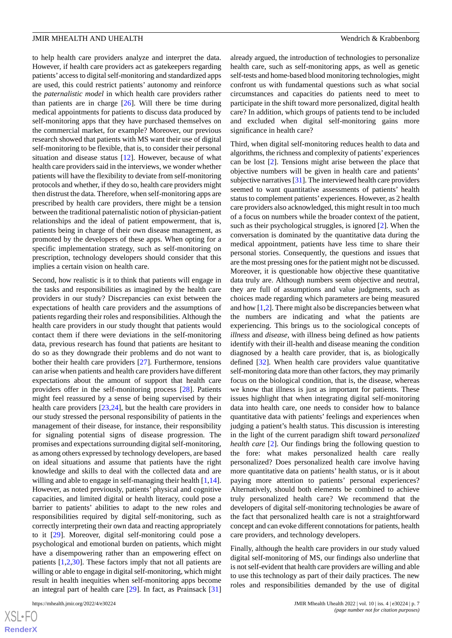to help health care providers analyze and interpret the data. However, if health care providers act as gatekeepers regarding patients' access to digital self-monitoring and standardized apps are used, this could restrict patients' autonomy and reinforce the *paternalistic model* in which health care providers rather than patients are in charge [[26\]](#page-9-2). Will there be time during medical appointments for patients to discuss data produced by self-monitoring apps that they have purchased themselves on the commercial market, for example? Moreover, our previous research showed that patients with MS want their use of digital self-monitoring to be flexible, that is, to consider their personal situation and disease status [\[12](#page-8-22)]. However, because of what health care providers said in the interviews, we wonder whether patients will have the flexibility to deviate from self-monitoring protocols and whether, if they do so, health care providers might then distrust the data. Therefore, when self-monitoring apps are prescribed by health care providers, there might be a tension between the traditional paternalistic notion of physician-patient relationships and the ideal of patient empowerment, that is, patients being in charge of their own disease management, as promoted by the developers of these apps. When opting for a specific implementation strategy, such as self-monitoring on prescription, technology developers should consider that this implies a certain vision on health care.

Second, how realistic is it to think that patients will engage in the tasks and responsibilities as imagined by the health care providers in our study? Discrepancies can exist between the expectations of health care providers and the assumptions of patients regarding their roles and responsibilities. Although the health care providers in our study thought that patients would contact them if there were deviations in the self-monitoring data, previous research has found that patients are hesitant to do so as they downgrade their problems and do not want to bother their health care providers [\[27](#page-9-3)]. Furthermore, tensions can arise when patients and health care providers have different expectations about the amount of support that health care providers offer in the self-monitoring process [\[28](#page-9-4)]. Patients might feel reassured by a sense of being supervised by their health care providers [[23,](#page-8-21)[24](#page-9-0)], but the health care providers in our study stressed the personal responsibility of patients in the management of their disease, for instance, their responsibility for signaling potential signs of disease progression. The promises and expectations surrounding digital self-monitoring, as among others expressed by technology developers, are based on ideal situations and assume that patients have the right knowledge and skills to deal with the collected data and are willing and able to engage in self-managing their health [\[1](#page-8-0),[14\]](#page-8-12). However, as noted previously, patients' physical and cognitive capacities, and limited digital or health literacy, could pose a barrier to patients' abilities to adapt to the new roles and responsibilities required by digital self-monitoring, such as correctly interpreting their own data and reacting appropriately to it [[29\]](#page-9-5). Moreover, digital self-monitoring could pose a psychological and emotional burden on patients, which might have a disempowering rather than an empowering effect on patients [\[1](#page-8-0),[2,](#page-8-1)[30](#page-9-6)]. These factors imply that not all patients are willing or able to engage in digital self-monitoring, which might result in health inequities when self-monitoring apps become an integral part of health care [\[29](#page-9-5)]. In fact, as Prainsack [\[31](#page-9-7)]

[XSL](http://www.w3.org/Style/XSL)•FO **[RenderX](http://www.renderx.com/)**

already argued, the introduction of technologies to personalize health care, such as self-monitoring apps, as well as genetic self-tests and home-based blood monitoring technologies, might confront us with fundamental questions such as what social circumstances and capacities do patients need to meet to participate in the shift toward more personalized, digital health care? In addition, which groups of patients tend to be included and excluded when digital self-monitoring gains more significance in health care?

Third, when digital self-monitoring reduces health to data and algorithms, the richness and complexity of patients' experiences can be lost [\[2](#page-8-1)]. Tensions might arise between the place that objective numbers will be given in health care and patients' subjective narratives [[31](#page-9-7)]. The interviewed health care providers seemed to want quantitative assessments of patients' health status to complement patients'experiences. However, as 2 health care providers also acknowledged, this might result in too much of a focus on numbers while the broader context of the patient, such as their psychological struggles, is ignored [[2\]](#page-8-1). When the conversation is dominated by the quantitative data during the medical appointment, patients have less time to share their personal stories. Consequently, the questions and issues that are the most pressing ones for the patient might not be discussed. Moreover, it is questionable how objective these quantitative data truly are. Although numbers seem objective and neutral, they are full of assumptions and value judgments, such as choices made regarding which parameters are being measured and how [\[1](#page-8-0),[2\]](#page-8-1). There might also be discrepancies between what the numbers are indicating and what the patients are experiencing. This brings us to the sociological concepts of *illness* and *disease*, with illness being defined as how patients identify with their ill-health and disease meaning the condition diagnosed by a health care provider, that is, as biologically defined [[32\]](#page-9-8). When health care providers value quantitative self-monitoring data more than other factors, they may primarily focus on the biological condition, that is, the disease, whereas we know that illness is just as important for patients. These issues highlight that when integrating digital self-monitoring data into health care, one needs to consider how to balance quantitative data with patients' feelings and experiences when judging a patient's health status. This discussion is interesting in the light of the current paradigm shift toward *personalized health care* [\[2](#page-8-1)]. Our findings bring the following question to the fore: what makes personalized health care really personalized? Does personalized health care involve having more quantitative data on patients' health status, or is it about paying more attention to patients' personal experiences? Alternatively, should both elements be combined to achieve truly personalized health care? We recommend that the developers of digital self-monitoring technologies be aware of the fact that personalized health care is not a straightforward concept and can evoke different connotations for patients, health care providers, and technology developers.

Finally, although the health care providers in our study valued digital self-monitoring of MS, our findings also underline that is not self-evident that health care providers are willing and able to use this technology as part of their daily practices. The new roles and responsibilities demanded by the use of digital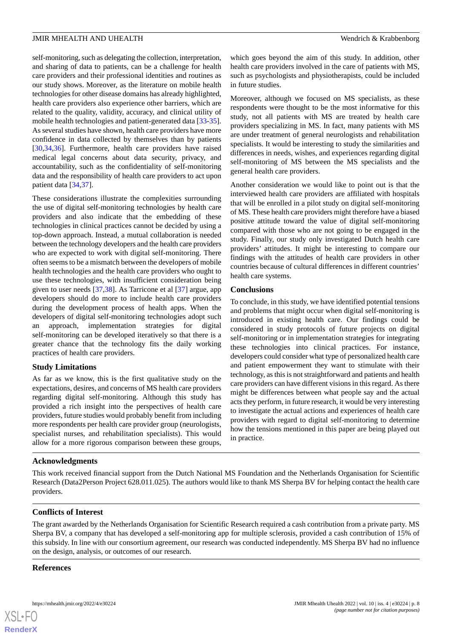self-monitoring, such as delegating the collection, interpretation, and sharing of data to patients, can be a challenge for health care providers and their professional identities and routines as our study shows. Moreover, as the literature on mobile health technologies for other disease domains has already highlighted, health care providers also experience other barriers, which are related to the quality, validity, accuracy, and clinical utility of mobile health technologies and patient-generated data [\[33](#page-9-9)-[35\]](#page-9-10). As several studies have shown, health care providers have more confidence in data collected by themselves than by patients [[30](#page-9-6)[,34](#page-9-11),[36\]](#page-9-12). Furthermore, health care providers have raised medical legal concerns about data security, privacy, and accountability, such as the confidentiality of self-monitoring data and the responsibility of health care providers to act upon patient data [[34,](#page-9-11)[37](#page-9-13)].

These considerations illustrate the complexities surrounding the use of digital self-monitoring technologies by health care providers and also indicate that the embedding of these technologies in clinical practices cannot be decided by using a top-down approach. Instead, a mutual collaboration is needed between the technology developers and the health care providers who are expected to work with digital self-monitoring. There often seems to be a mismatch between the developers of mobile health technologies and the health care providers who ought to use these technologies, with insufficient consideration being given to user needs [[37,](#page-9-13)[38\]](#page-9-14). As Tarricone et al [\[37](#page-9-13)] argue, app developers should do more to include health care providers during the development process of health apps. When the developers of digital self-monitoring technologies adopt such an approach, implementation strategies for digital self-monitoring can be developed iteratively so that there is a greater chance that the technology fits the daily working practices of health care providers.

#### **Study Limitations**

As far as we know, this is the first qualitative study on the expectations, desires, and concerns of MS health care providers regarding digital self-monitoring. Although this study has provided a rich insight into the perspectives of health care providers, future studies would probably benefit from including more respondents per health care provider group (neurologists, specialist nurses, and rehabilitation specialists). This would allow for a more rigorous comparison between these groups,

which goes beyond the aim of this study. In addition, other health care providers involved in the care of patients with MS, such as psychologists and physiotherapists, could be included in future studies.

Moreover, although we focused on MS specialists, as these respondents were thought to be the most informative for this study, not all patients with MS are treated by health care providers specializing in MS. In fact, many patients with MS are under treatment of general neurologists and rehabilitation specialists. It would be interesting to study the similarities and differences in needs, wishes, and experiences regarding digital self-monitoring of MS between the MS specialists and the general health care providers.

Another consideration we would like to point out is that the interviewed health care providers are affiliated with hospitals that will be enrolled in a pilot study on digital self-monitoring of MS. These health care providers might therefore have a biased positive attitude toward the value of digital self-monitoring compared with those who are not going to be engaged in the study. Finally, our study only investigated Dutch health care providers' attitudes. It might be interesting to compare our findings with the attitudes of health care providers in other countries because of cultural differences in different countries' health care systems.

### **Conclusions**

To conclude, in this study, we have identified potential tensions and problems that might occur when digital self-monitoring is introduced in existing health care. Our findings could be considered in study protocols of future projects on digital self-monitoring or in implementation strategies for integrating these technologies into clinical practices. For instance, developers could consider what type of personalized health care and patient empowerment they want to stimulate with their technology, as this is not straightforward and patients and health care providers can have different visions in this regard. As there might be differences between what people say and the actual acts they perform, in future research, it would be very interesting to investigate the actual actions and experiences of health care providers with regard to digital self-monitoring to determine how the tensions mentioned in this paper are being played out in practice.

#### **Acknowledgments**

This work received financial support from the Dutch National MS Foundation and the Netherlands Organisation for Scientific Research (Data2Person Project 628.011.025). The authors would like to thank MS Sherpa BV for helping contact the health care providers.

# **Conflicts of Interest**

The grant awarded by the Netherlands Organisation for Scientific Research required a cash contribution from a private party. MS Sherpa BV, a company that has developed a self-monitoring app for multiple sclerosis, provided a cash contribution of 15% of this subsidy. In line with our consortium agreement, our research was conducted independently. MS Sherpa BV had no influence on the design, analysis, or outcomes of our research.

#### **References**

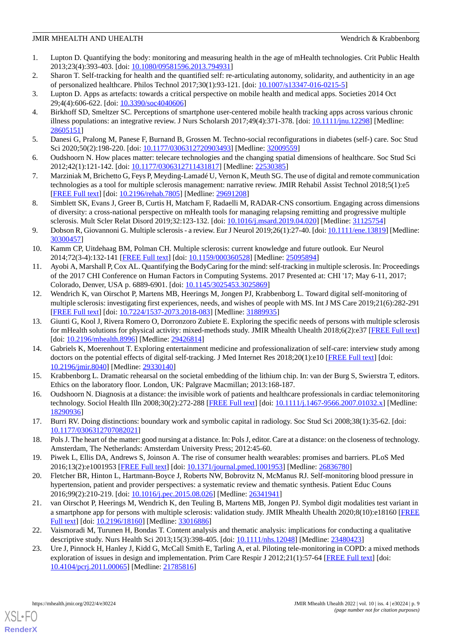- <span id="page-8-0"></span>1. Lupton D. Quantifying the body: monitoring and measuring health in the age of mHealth technologies. Crit Public Health 2013;23(4):393-403. [doi: [10.1080/09581596.2013.794931\]](http://dx.doi.org/10.1080/09581596.2013.794931)
- <span id="page-8-2"></span><span id="page-8-1"></span>2. Sharon T. Self-tracking for health and the quantified self: re-articulating autonomy, solidarity, and authenticity in an age of personalized healthcare. Philos Technol 2017;30(1):93-121. [doi: [10.1007/s13347-016-0215-5\]](http://dx.doi.org/10.1007/s13347-016-0215-5)
- <span id="page-8-3"></span>3. Lupton D. Apps as artefacts: towards a critical perspective on mobile health and medical apps. Societies 2014 Oct 29;4(4):606-622. [doi: [10.3390/soc4040606](http://dx.doi.org/10.3390/soc4040606)]
- 4. Birkhoff SD, Smeltzer SC. Perceptions of smartphone user-centered mobile health tracking apps across various chronic illness populations: an integrative review. J Nurs Scholarsh 2017;49(4):371-378. [doi: [10.1111/jnu.12298](http://dx.doi.org/10.1111/jnu.12298)] [Medline: [28605151](http://www.ncbi.nlm.nih.gov/entrez/query.fcgi?cmd=Retrieve&db=PubMed&list_uids=28605151&dopt=Abstract)]
- <span id="page-8-5"></span><span id="page-8-4"></span>5. Danesi G, Pralong M, Panese F, Burnand B, Grossen M. Techno-social reconfigurations in diabetes (self-) care. Soc Stud Sci 2020;50(2):198-220. [doi: [10.1177/0306312720903493](http://dx.doi.org/10.1177/0306312720903493)] [Medline: [32009559\]](http://www.ncbi.nlm.nih.gov/entrez/query.fcgi?cmd=Retrieve&db=PubMed&list_uids=32009559&dopt=Abstract)
- <span id="page-8-6"></span>6. Oudshoorn N. How places matter: telecare technologies and the changing spatial dimensions of healthcare. Soc Stud Sci 2012;42(1):121-142. [doi: [10.1177/0306312711431817\]](http://dx.doi.org/10.1177/0306312711431817) [Medline: [22530385](http://www.ncbi.nlm.nih.gov/entrez/query.fcgi?cmd=Retrieve&db=PubMed&list_uids=22530385&dopt=Abstract)]
- <span id="page-8-7"></span>7. Marziniak M, Brichetto G, Feys P, Meyding-Lamadé U, Vernon K, Meuth SG. The use of digital and remote communication technologies as a tool for multiple sclerosis management: narrative review. JMIR Rehabil Assist Technol 2018;5(1):e5 [[FREE Full text](https://rehab.jmir.org/2018/1/e5/)] [doi: [10.2196/rehab.7805](http://dx.doi.org/10.2196/rehab.7805)] [Medline: [29691208\]](http://www.ncbi.nlm.nih.gov/entrez/query.fcgi?cmd=Retrieve&db=PubMed&list_uids=29691208&dopt=Abstract)
- <span id="page-8-8"></span>8. Simblett SK, Evans J, Greer B, Curtis H, Matcham F, Radaelli M, RADAR-CNS consortium. Engaging across dimensions of diversity: a cross-national perspective on mHealth tools for managing relapsing remitting and progressive multiple sclerosis. Mult Scler Relat Disord 2019;32:123-132. [doi: [10.1016/j.msard.2019.04.020](http://dx.doi.org/10.1016/j.msard.2019.04.020)] [Medline: [31125754\]](http://www.ncbi.nlm.nih.gov/entrez/query.fcgi?cmd=Retrieve&db=PubMed&list_uids=31125754&dopt=Abstract)
- <span id="page-8-9"></span>9. Dobson R, Giovannoni G. Multiple sclerosis - a review. Eur J Neurol 2019;26(1):27-40. [doi: [10.1111/ene.13819](http://dx.doi.org/10.1111/ene.13819)] [Medline: [30300457](http://www.ncbi.nlm.nih.gov/entrez/query.fcgi?cmd=Retrieve&db=PubMed&list_uids=30300457&dopt=Abstract)]
- <span id="page-8-10"></span>10. Kamm CP, Uitdehaag BM, Polman CH. Multiple sclerosis: current knowledge and future outlook. Eur Neurol 2014;72(3-4):132-141 [\[FREE Full text\]](https://www.karger.com?DOI=10.1159/000360528) [doi: [10.1159/000360528](http://dx.doi.org/10.1159/000360528)] [Medline: [25095894\]](http://www.ncbi.nlm.nih.gov/entrez/query.fcgi?cmd=Retrieve&db=PubMed&list_uids=25095894&dopt=Abstract)
- <span id="page-8-22"></span>11. Ayobi A, Marshall P, Cox AL. Quantifying the BodyCaring for the mind: self-tracking in multiple sclerosis. In: Proceedings of the 2017 CHI Conference on Human Factors in Computing Systems. 2017 Presented at: CHI '17; May 6-11, 2017; Colorado, Denver, USA p. 6889-6901. [doi: [10.1145/3025453.3025869](http://dx.doi.org/10.1145/3025453.3025869)]
- <span id="page-8-11"></span>12. Wendrich K, van Oirschot P, Martens MB, Heerings M, Jongen PJ, Krabbenborg L. Toward digital self-monitoring of multiple sclerosis: investigating first experiences, needs, and wishes of people with MS. Int J MS Care 2019;21(6):282-291 [[FREE Full text](https://meridian.allenpress.com/ijmsc/article-lookup/doi/10.7224/1537-2073.2018-083)] [doi: [10.7224/1537-2073.2018-083\]](http://dx.doi.org/10.7224/1537-2073.2018-083) [Medline: [31889935\]](http://www.ncbi.nlm.nih.gov/entrez/query.fcgi?cmd=Retrieve&db=PubMed&list_uids=31889935&dopt=Abstract)
- <span id="page-8-12"></span>13. Giunti G, Kool J, Rivera Romero O, Dorronzoro Zubiete E. Exploring the specific needs of persons with multiple sclerosis for mHealth solutions for physical activity: mixed-methods study. JMIR Mhealth Uhealth 2018;6(2):e37 [\[FREE Full text](https://mhealth.jmir.org/2018/2/e37/)] [doi: [10.2196/mhealth.8996\]](http://dx.doi.org/10.2196/mhealth.8996) [Medline: [29426814\]](http://www.ncbi.nlm.nih.gov/entrez/query.fcgi?cmd=Retrieve&db=PubMed&list_uids=29426814&dopt=Abstract)
- <span id="page-8-14"></span><span id="page-8-13"></span>14. Gabriels K, Moerenhout T. Exploring entertainment medicine and professionalization of self-care: interview study among doctors on the potential effects of digital self-tracking. J Med Internet Res 2018;20(1):e10 [\[FREE Full text\]](https://www.jmir.org/2018/1/e10/) [doi: [10.2196/jmir.8040](http://dx.doi.org/10.2196/jmir.8040)] [Medline: [29330140](http://www.ncbi.nlm.nih.gov/entrez/query.fcgi?cmd=Retrieve&db=PubMed&list_uids=29330140&dopt=Abstract)]
- <span id="page-8-15"></span>15. Krabbenborg L. Dramatic rehearsal on the societal embedding of the lithium chip. In: van der Burg S, Swierstra T, editors. Ethics on the laboratory floor. London, UK: Palgrave Macmillan; 2013:168-187.
- <span id="page-8-16"></span>16. Oudshoorn N. Diagnosis at a distance: the invisible work of patients and healthcare professionals in cardiac telemonitoring technology. Sociol Health Illn 2008;30(2):272-288 [\[FREE Full text\]](https://doi.org/10.1111/j.1467-9566.2007.01032.x) [doi: [10.1111/j.1467-9566.2007.01032.x](http://dx.doi.org/10.1111/j.1467-9566.2007.01032.x)] [Medline: [18290936](http://www.ncbi.nlm.nih.gov/entrez/query.fcgi?cmd=Retrieve&db=PubMed&list_uids=18290936&dopt=Abstract)]
- <span id="page-8-18"></span><span id="page-8-17"></span>17. Burri RV. Doing distinctions: boundary work and symbolic capital in radiology. Soc Stud Sci 2008;38(1):35-62. [doi: [10.1177/0306312707082021\]](http://dx.doi.org/10.1177/0306312707082021)
- 18. Pols J. The heart of the matter: good nursing at a distance. In: Pols J, editor. Care at a distance: on the closeness of technology. Amsterdam, The Netherlands: Amsterdam University Press; 2012:45-60.
- <span id="page-8-19"></span>19. Piwek L, Ellis DA, Andrews S, Joinson A. The rise of consumer health wearables: promises and barriers. PLoS Med 2016;13(2):e1001953 [\[FREE Full text](https://dx.plos.org/10.1371/journal.pmed.1001953)] [doi: [10.1371/journal.pmed.1001953](http://dx.doi.org/10.1371/journal.pmed.1001953)] [Medline: [26836780](http://www.ncbi.nlm.nih.gov/entrez/query.fcgi?cmd=Retrieve&db=PubMed&list_uids=26836780&dopt=Abstract)]
- <span id="page-8-20"></span>20. Fletcher BR, Hinton L, Hartmann-Boyce J, Roberts NW, Bobrovitz N, McManus RJ. Self-monitoring blood pressure in hypertension, patient and provider perspectives: a systematic review and thematic synthesis. Patient Educ Couns 2016;99(2):210-219. [doi: [10.1016/j.pec.2015.08.026](http://dx.doi.org/10.1016/j.pec.2015.08.026)] [Medline: [26341941](http://www.ncbi.nlm.nih.gov/entrez/query.fcgi?cmd=Retrieve&db=PubMed&list_uids=26341941&dopt=Abstract)]
- <span id="page-8-21"></span>21. van Oirschot P, Heerings M, Wendrich K, den Teuling B, Martens MB, Jongen PJ. Symbol digit modalities test variant in a smartphone app for persons with multiple sclerosis: validation study. JMIR Mhealth Uhealth 2020;8(10):e18160 [\[FREE](https://mhealth.jmir.org/2020/10/e18160/) [Full text\]](https://mhealth.jmir.org/2020/10/e18160/) [doi: [10.2196/18160\]](http://dx.doi.org/10.2196/18160) [Medline: [33016886](http://www.ncbi.nlm.nih.gov/entrez/query.fcgi?cmd=Retrieve&db=PubMed&list_uids=33016886&dopt=Abstract)]
- 22. Vaismoradi M, Turunen H, Bondas T. Content analysis and thematic analysis: implications for conducting a qualitative descriptive study. Nurs Health Sci 2013;15(3):398-405. [doi: [10.1111/nhs.12048](http://dx.doi.org/10.1111/nhs.12048)] [Medline: [23480423](http://www.ncbi.nlm.nih.gov/entrez/query.fcgi?cmd=Retrieve&db=PubMed&list_uids=23480423&dopt=Abstract)]
- 23. Ure J, Pinnock H, Hanley J, Kidd G, McCall Smith E, Tarling A, et al. Piloting tele-monitoring in COPD: a mixed methods exploration of issues in design and implementation. Prim Care Respir J 2012;21(1):57-64 [[FREE Full text](https://doi.org/10.4104/pcrj.2011.00065)] [doi: [10.4104/pcrj.2011.00065](http://dx.doi.org/10.4104/pcrj.2011.00065)] [Medline: [21785816](http://www.ncbi.nlm.nih.gov/entrez/query.fcgi?cmd=Retrieve&db=PubMed&list_uids=21785816&dopt=Abstract)]

[XSL](http://www.w3.org/Style/XSL)•FO **[RenderX](http://www.renderx.com/)**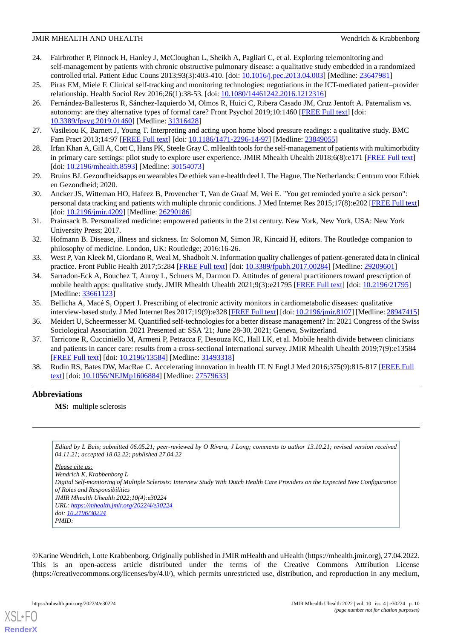- <span id="page-9-0"></span>24. Fairbrother P, Pinnock H, Hanley J, McCloughan L, Sheikh A, Pagliari C, et al. Exploring telemonitoring and self-management by patients with chronic obstructive pulmonary disease: a qualitative study embedded in a randomized controlled trial. Patient Educ Couns 2013;93(3):403-410. [doi: [10.1016/j.pec.2013.04.003\]](http://dx.doi.org/10.1016/j.pec.2013.04.003) [Medline: [23647981\]](http://www.ncbi.nlm.nih.gov/entrez/query.fcgi?cmd=Retrieve&db=PubMed&list_uids=23647981&dopt=Abstract)
- <span id="page-9-2"></span><span id="page-9-1"></span>25. Piras EM, Miele F. Clinical self-tracking and monitoring technologies: negotiations in the ICT-mediated patient–provider relationship. Health Sociol Rev 2016;26(1):38-53. [doi: [10.1080/14461242.2016.1212316](http://dx.doi.org/10.1080/14461242.2016.1212316)]
- 26. Fernández-Ballesteros R, Sánchez-Izquierdo M, Olmos R, Huici C, Ribera Casado JM, Cruz Jentoft A. Paternalism vs. autonomy: are they alternative types of formal care? Front Psychol 2019;10:1460 [\[FREE Full text\]](https://doi.org/10.3389/fpsyg.2019.01460) [doi: [10.3389/fpsyg.2019.01460](http://dx.doi.org/10.3389/fpsyg.2019.01460)] [Medline: [31316428\]](http://www.ncbi.nlm.nih.gov/entrez/query.fcgi?cmd=Retrieve&db=PubMed&list_uids=31316428&dopt=Abstract)
- <span id="page-9-4"></span><span id="page-9-3"></span>27. Vasileiou K, Barnett J, Young T. Interpreting and acting upon home blood pressure readings: a qualitative study. BMC Fam Pract 2013;14:97 [\[FREE Full text\]](https://bmcfampract.biomedcentral.com/articles/10.1186/1471-2296-14-97) [doi: [10.1186/1471-2296-14-97](http://dx.doi.org/10.1186/1471-2296-14-97)] [Medline: [23849055\]](http://www.ncbi.nlm.nih.gov/entrez/query.fcgi?cmd=Retrieve&db=PubMed&list_uids=23849055&dopt=Abstract)
- <span id="page-9-5"></span>28. Irfan Khan A, Gill A, Cott C, Hans PK, Steele Gray C. mHealth tools for the self-management of patients with multimorbidity in primary care settings: pilot study to explore user experience. JMIR Mhealth Uhealth 2018;6(8):e171 [[FREE Full text](https://mhealth.jmir.org/2018/8/e171/)] [doi: [10.2196/mhealth.8593\]](http://dx.doi.org/10.2196/mhealth.8593) [Medline: [30154073\]](http://www.ncbi.nlm.nih.gov/entrez/query.fcgi?cmd=Retrieve&db=PubMed&list_uids=30154073&dopt=Abstract)
- <span id="page-9-6"></span>29. Bruins BJ. Gezondheidsapps en wearables De ethiek van e-health deel I. The Hague, The Netherlands: Centrum voor Ethiek en Gezondheid; 2020.
- <span id="page-9-7"></span>30. Ancker JS, Witteman HO, Hafeez B, Provencher T, Van de Graaf M, Wei E. "You get reminded you're a sick person": personal data tracking and patients with multiple chronic conditions. J Med Internet Res 2015;17(8):e202 [[FREE Full text](https://www.jmir.org/2015/8/e202/)] [doi: [10.2196/jmir.4209\]](http://dx.doi.org/10.2196/jmir.4209) [Medline: [26290186\]](http://www.ncbi.nlm.nih.gov/entrez/query.fcgi?cmd=Retrieve&db=PubMed&list_uids=26290186&dopt=Abstract)
- <span id="page-9-8"></span>31. Prainsack B. Personalized medicine: empowered patients in the 21st century. New York, New York, USA: New York University Press; 2017.
- <span id="page-9-11"></span><span id="page-9-9"></span>32. Hofmann B. Disease, illness and sickness. In: Solomon M, Simon JR, Kincaid H, editors. The Routledge companion to philosophy of medicine. London, UK: Routledge; 2016:16-26.
- 33. West P, Van Kleek M, Giordano R, Weal M, Shadbolt N. Information quality challenges of patient-generated data in clinical practice. Front Public Health 2017;5:284 [[FREE Full text](https://doi.org/10.3389/fpubh.2017.00284)] [doi: [10.3389/fpubh.2017.00284](http://dx.doi.org/10.3389/fpubh.2017.00284)] [Medline: [29209601\]](http://www.ncbi.nlm.nih.gov/entrez/query.fcgi?cmd=Retrieve&db=PubMed&list_uids=29209601&dopt=Abstract)
- <span id="page-9-12"></span><span id="page-9-10"></span>34. Sarradon-Eck A, Bouchez T, Auroy L, Schuers M, Darmon D. Attitudes of general practitioners toward prescription of mobile health apps: qualitative study. JMIR Mhealth Uhealth 2021;9(3):e21795 [\[FREE Full text\]](https://mhealth.jmir.org/2021/3/e21795/) [doi: [10.2196/21795](http://dx.doi.org/10.2196/21795)] [Medline: [33661123](http://www.ncbi.nlm.nih.gov/entrez/query.fcgi?cmd=Retrieve&db=PubMed&list_uids=33661123&dopt=Abstract)]
- <span id="page-9-13"></span>35. Bellicha A, Macé S, Oppert J. Prescribing of electronic activity monitors in cardiometabolic diseases: qualitative interview-based study. J Med Internet Res 2017;19(9):e328 [[FREE Full text\]](https://www.jmir.org/2017/9/e328/) [doi: [10.2196/jmir.8107](http://dx.doi.org/10.2196/jmir.8107)] [Medline: [28947415\]](http://www.ncbi.nlm.nih.gov/entrez/query.fcgi?cmd=Retrieve&db=PubMed&list_uids=28947415&dopt=Abstract)
- 36. Meidert U, Scheermesser M. Quantified self-technologies for a better disease management? In: 2021 Congress of the Swiss Sociological Association. 2021 Presented at: SSA '21; June 28-30, 2021; Geneva, Switzerland.
- <span id="page-9-14"></span>37. Tarricone R, Cucciniello M, Armeni P, Petracca F, Desouza KC, Hall LK, et al. Mobile health divide between clinicians and patients in cancer care: results from a cross-sectional international survey. JMIR Mhealth Uhealth 2019;7(9):e13584 [[FREE Full text](https://mhealth.jmir.org/2019/9/e13584/)] [doi: [10.2196/13584\]](http://dx.doi.org/10.2196/13584) [Medline: [31493318\]](http://www.ncbi.nlm.nih.gov/entrez/query.fcgi?cmd=Retrieve&db=PubMed&list_uids=31493318&dopt=Abstract)
- 38. Rudin RS, Bates DW, MacRae C. Accelerating innovation in health IT. N Engl J Med 2016;375(9):815-817 [\[FREE Full](http://europepmc.org/abstract/MED/27579633) [text](http://europepmc.org/abstract/MED/27579633)] [doi: [10.1056/NEJMp1606884\]](http://dx.doi.org/10.1056/NEJMp1606884) [Medline: [27579633\]](http://www.ncbi.nlm.nih.gov/entrez/query.fcgi?cmd=Retrieve&db=PubMed&list_uids=27579633&dopt=Abstract)

#### **Abbreviations**

**MS:** multiple sclerosis

*Edited by L Buis; submitted 06.05.21; peer-reviewed by O Rivera, J Long; comments to author 13.10.21; revised version received 04.11.21; accepted 18.02.22; published 27.04.22*

*Please cite as:*

*Wendrich K, Krabbenborg L*

*Digital Self-monitoring of Multiple Sclerosis: Interview Study With Dutch Health Care Providers on the Expected New Configuration of Roles and Responsibilities JMIR Mhealth Uhealth 2022;10(4):e30224*

*URL: <https://mhealth.jmir.org/2022/4/e30224> doi: [10.2196/30224](http://dx.doi.org/10.2196/30224) PMID:*

©Karine Wendrich, Lotte Krabbenborg. Originally published in JMIR mHealth and uHealth (https://mhealth.jmir.org), 27.04.2022. This is an open-access article distributed under the terms of the Creative Commons Attribution License (https://creativecommons.org/licenses/by/4.0/), which permits unrestricted use, distribution, and reproduction in any medium,

[XSL](http://www.w3.org/Style/XSL)•FO **[RenderX](http://www.renderx.com/)**